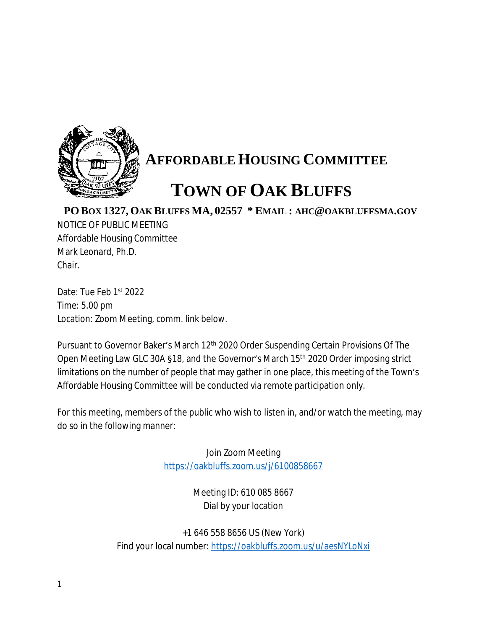

## **AFFORDABLE HOUSING COMMITTEE**

## **TOWN OF OAK BLUFFS**

## **PO BOX 1327, OAK BLUFFS MA, 02557 \* EMAIL : AHC@OAKBLUFFSMA.GOV**

NOTICE OF PUBLIC MEETING Affordable Housing Committee Mark Leonard, Ph.D. Chair.

Date: Tue Feb 1st 2022 Time: 5.00 pm Location: Zoom Meeting, comm. link below.

Pursuant to Governor Baker's March 12<sup>th</sup> 2020 Order Suspending Certain Provisions Of The Open Meeting Law GLC 30A §18, and the Governor's March 15th 2020 Order imposing strict limitations on the number of people that may gather in one place, this meeting of the Town's Affordable Housing Committee will be conducted via remote participation only.

For this meeting, members of the public who wish to listen in, and/or watch the meeting, may do so in the following manner:

> Join Zoom Meeting <https://oakbluffs.zoom.us/j/6100858667>

> > Meeting ID: 610 085 8667 Dial by your location

+1 646 558 8656 US (New York) Find your local number: <https://oakbluffs.zoom.us/u/aesNYLoNxi>